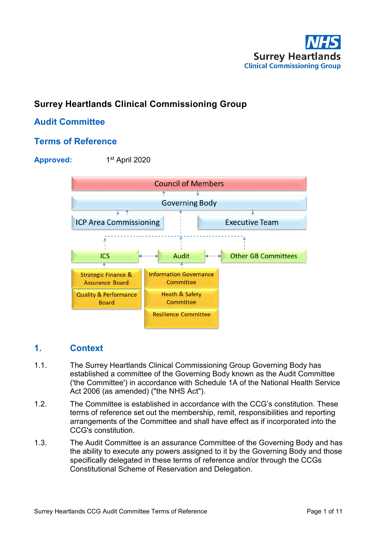

# **Surrey Heartlands Clinical Commissioning Group**

# **Audit Committee**

## **Terms of Reference**

### Approved: 1st April 2020



## **1. Context**

- 1.1. The Surrey Heartlands Clinical Commissioning Group Governing Body has established a committee of the Governing Body known as the Audit Committee ('the Committee') in accordance with Schedule 1A of the National Health Service Act 2006 (as amended) ("the NHS Act").
- 1.2. The Committee is established in accordance with the CCG's constitution. These terms of reference set out the membership, remit, responsibilities and reporting arrangements of the Committee and shall have effect as if incorporated into the CCG's constitution.
- 1.3. The Audit Committee is an assurance Committee of the Governing Body and has the ability to execute any powers assigned to it by the Governing Body and those specifically delegated in these terms of reference and/or through the CCGs Constitutional Scheme of Reservation and Delegation.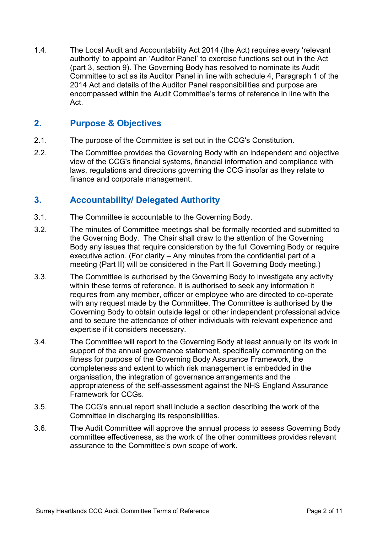1.4. The Local Audit and Accountability Act 2014 (the Act) requires every 'relevant authority' to appoint an 'Auditor Panel' to exercise functions set out in the Act (part 3, section 9). The Governing Body has resolved to nominate its Audit Committee to act as its Auditor Panel in line with schedule 4, Paragraph 1 of the 2014 Act and details of the Auditor Panel responsibilities and purpose are encompassed within the Audit Committee's terms of reference in line with the **Act** 

## **2. Purpose & Objectives**

- 2.1. The purpose of the Committee is set out in the CCG's Constitution.
- 2.2. The Committee provides the Governing Body with an independent and objective view of the CCG's financial systems, financial information and compliance with laws, regulations and directions governing the CCG insofar as they relate to finance and corporate management.

## **3. Accountability/ Delegated Authority**

- 3.1. The Committee is accountable to the Governing Body.
- 3.2. The minutes of Committee meetings shall be formally recorded and submitted to the Governing Body. The Chair shall draw to the attention of the Governing Body any issues that require consideration by the full Governing Body or require executive action. (For clarity – Any minutes from the confidential part of a meeting (Part II) will be considered in the Part II Governing Body meeting.)
- 3.3. The Committee is authorised by the Governing Body to investigate any activity within these terms of reference. It is authorised to seek any information it requires from any member, officer or employee who are directed to co-operate with any request made by the Committee. The Committee is authorised by the Governing Body to obtain outside legal or other independent professional advice and to secure the attendance of other individuals with relevant experience and expertise if it considers necessary.
- 3.4. The Committee will report to the Governing Body at least annually on its work in support of the annual governance statement, specifically commenting on the fitness for purpose of the Governing Body Assurance Framework, the completeness and extent to which risk management is embedded in the organisation, the integration of governance arrangements and the appropriateness of the self-assessment against the NHS England Assurance Framework for CCGs.
- 3.5. The CCG's annual report shall include a section describing the work of the Committee in discharging its responsibilities.
- 3.6. The Audit Committee will approve the annual process to assess Governing Body committee effectiveness, as the work of the other committees provides relevant assurance to the Committee's own scope of work.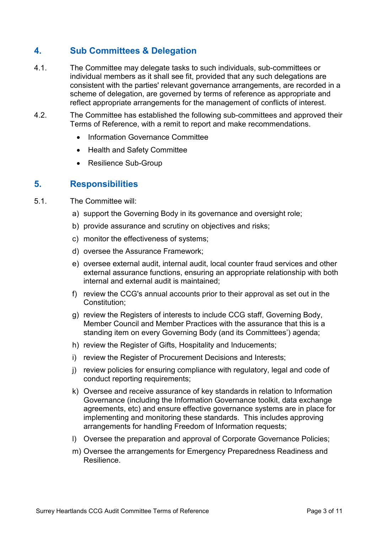# **4. Sub Committees & Delegation**

- 4.1. The Committee may delegate tasks to such individuals, sub-committees or individual members as it shall see fit, provided that any such delegations are consistent with the parties' relevant governance arrangements, are recorded in a scheme of delegation, are governed by terms of reference as appropriate and reflect appropriate arrangements for the management of conflicts of interest.
- 4.2. The Committee has established the following sub-committees and approved their Terms of Reference, with a remit to report and make recommendations.
	- Information Governance Committee
	- Health and Safety Committee
	- Resilience Sub-Group

## **5. Responsibilities**

- 5.1. The Committee will:
	- a) support the Governing Body in its governance and oversight role;
	- b) provide assurance and scrutiny on objectives and risks;
	- c) monitor the effectiveness of systems;
	- d) oversee the Assurance Framework;
	- e) oversee external audit, internal audit, local counter fraud services and other external assurance functions, ensuring an appropriate relationship with both internal and external audit is maintained;
	- f) review the CCG's annual accounts prior to their approval as set out in the Constitution;
	- g) review the Registers of interests to include CCG staff, Governing Body, Member Council and Member Practices with the assurance that this is a standing item on every Governing Body (and its Committees') agenda;
	- h) review the Register of Gifts, Hospitality and Inducements;
	- i) review the Register of Procurement Decisions and Interests;
	- j) review policies for ensuring compliance with regulatory, legal and code of conduct reporting requirements;
	- k) Oversee and receive assurance of key standards in relation to Information Governance (including the Information Governance toolkit, data exchange agreements, etc) and ensure effective governance systems are in place for implementing and monitoring these standards. This includes approving arrangements for handling Freedom of Information requests;
	- l) Oversee the preparation and approval of Corporate Governance Policies;
	- m) Oversee the arrangements for Emergency Preparedness Readiness and Resilience.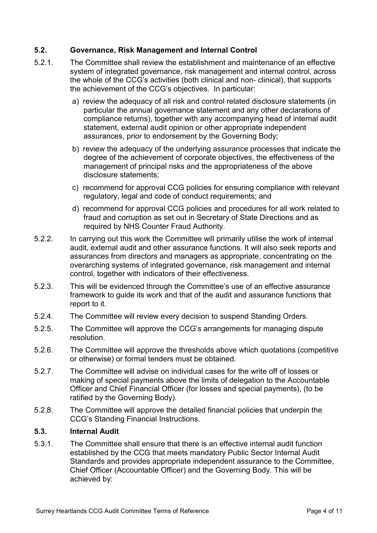### **5.2. Governance, Risk Management and Internal Control**

- 5.2.1. The Committee shall review the establishment and maintenance of an effective system of integrated governance, risk management and internal control, across the whole of the CCG's activities (both clinical and non- clinical), that supports the achievement of the CCG's objectives. In particular:
	- a) review the adequacy of all risk and control related disclosure statements (in particular the annual governance statement and any other declarations of compliance returns), together with any accompanying head of internal audit statement, external audit opinion or other appropriate independent assurances, prior to endorsement by the Governing Body;
	- b) review the adequacy of the underlying assurance processes that indicate the degree of the achievement of corporate objectives, the effectiveness of the management of principal risks and the appropriateness of the above disclosure statements;
	- c) recommend for approval CCG policies for ensuring compliance with relevant regulatory, legal and code of conduct requirements; and
	- d) recommend for approval CCG policies and procedures for all work related to fraud and corruption as set out in Secretary of State Directions and as required by NHS Counter Fraud Authority.
- 5.2.2. In carrying out this work the Committee will primarily utilise the work of internal audit, external audit and other assurance functions. It will also seek reports and assurances from directors and managers as appropriate, concentrating on the overarching systems of integrated governance, risk management and internal control, together with indicators of their effectiveness.
- 5.2.3. This will be evidenced through the Committee's use of an effective assurance framework to guide its work and that of the audit and assurance functions that report to it.
- 5.2.4. The Committee will review every decision to suspend Standing Orders.
- 5.2.5. The Committee will approve the CCG's arrangements for managing dispute resolution.
- 5.2.6. The Committee will approve the thresholds above which quotations (competitive or otherwise) or formal tenders must be obtained.
- 5.2.7. The Committee will advise on individual cases for the write off of losses or making of special payments above the limits of delegation to the Accountable Officer and Chief Financial Officer (for losses and special payments), (to be ratified by the Governing Body).
- 5.2.8. The Committee will approve the detailed financial policies that underpin the CCG's Standing Financial Instructions.

### **5.3. Internal Audit**

5.3.1. The Committee shall ensure that there is an effective internal audit function established by the CCG that meets mandatory Public Sector Internal Audit Standards and provides appropriate independent assurance to the Committee, Chief Officer (Accountable Officer) and the Governing Body. This will be achieved by: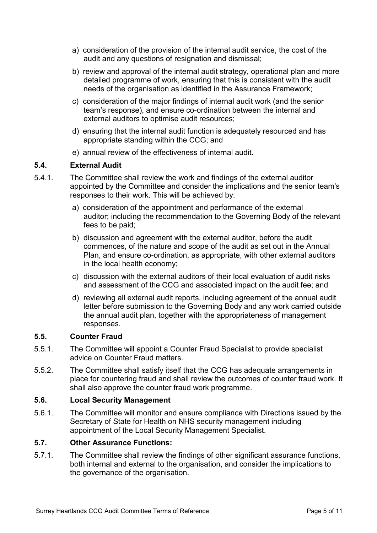- a) consideration of the provision of the internal audit service, the cost of the audit and any questions of resignation and dismissal;
- b) review and approval of the internal audit strategy, operational plan and more detailed programme of work, ensuring that this is consistent with the audit needs of the organisation as identified in the Assurance Framework;
- c) consideration of the major findings of internal audit work (and the senior team's response), and ensure co-ordination between the internal and external auditors to optimise audit resources;
- d) ensuring that the internal audit function is adequately resourced and has appropriate standing within the CCG; and
- e) annual review of the effectiveness of internal audit.

### **5.4. External Audit**

- 5.4.1. The Committee shall review the work and findings of the external auditor appointed by the Committee and consider the implications and the senior team's responses to their work. This will be achieved by:
	- a) consideration of the appointment and performance of the external auditor; including the recommendation to the Governing Body of the relevant fees to be paid;
	- b) discussion and agreement with the external auditor, before the audit commences, of the nature and scope of the audit as set out in the Annual Plan, and ensure co-ordination, as appropriate, with other external auditors in the local health economy;
	- c) discussion with the external auditors of their local evaluation of audit risks and assessment of the CCG and associated impact on the audit fee; and
	- d) reviewing all external audit reports, including agreement of the annual audit letter before submission to the Governing Body and any work carried outside the annual audit plan, together with the appropriateness of management responses.

### **5.5. Counter Fraud**

- 5.5.1. The Committee will appoint a Counter Fraud Specialist to provide specialist advice on Counter Fraud matters.
- 5.5.2. The Committee shall satisfy itself that the CCG has adequate arrangements in place for countering fraud and shall review the outcomes of counter fraud work. It shall also approve the counter fraud work programme.

### **5.6. Local Security Management**

5.6.1. The Committee will monitor and ensure compliance with Directions issued by the Secretary of State for Health on NHS security management including appointment of the Local Security Management Specialist.

### **5.7. Other Assurance Functions:**

5.7.1. The Committee shall review the findings of other significant assurance functions, both internal and external to the organisation, and consider the implications to the governance of the organisation.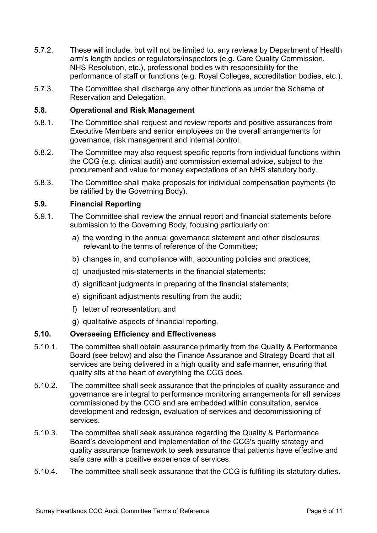- 5.7.2. These will include, but will not be limited to, any reviews by Department of Health arm's length bodies or regulators/inspectors (e.g. Care Quality Commission, NHS Resolution, etc.), professional bodies with responsibility for the performance of staff or functions (e.g. Royal Colleges, accreditation bodies, etc.).
- 5.7.3. The Committee shall discharge any other functions as under the Scheme of Reservation and Delegation.

### **5.8. Operational and Risk Management**

- 5.8.1. The Committee shall request and review reports and positive assurances from Executive Members and senior employees on the overall arrangements for governance, risk management and internal control.
- 5.8.2. The Committee may also request specific reports from individual functions within the CCG (e.g. clinical audit) and commission external advice, subject to the procurement and value for money expectations of an NHS statutory body.
- 5.8.3. The Committee shall make proposals for individual compensation payments (to be ratified by the Governing Body).

### **5.9. Financial Reporting**

- 5.9.1. The Committee shall review the annual report and financial statements before submission to the Governing Body, focusing particularly on:
	- a) the wording in the annual governance statement and other disclosures relevant to the terms of reference of the Committee;
	- b) changes in, and compliance with, accounting policies and practices;
	- c) unadjusted mis-statements in the financial statements;
	- d) significant judgments in preparing of the financial statements;
	- e) significant adjustments resulting from the audit;
	- f) letter of representation; and
	- g) qualitative aspects of financial reporting.

### **5.10. Overseeing Efficiency and Effectiveness**

- 5.10.1. The committee shall obtain assurance primarily from the Quality & Performance Board (see below) and also the Finance Assurance and Strategy Board that all services are being delivered in a high quality and safe manner, ensuring that quality sits at the heart of everything the CCG does.
- 5.10.2. The committee shall seek assurance that the principles of quality assurance and governance are integral to performance monitoring arrangements for all services commissioned by the CCG and are embedded within consultation, service development and redesign, evaluation of services and decommissioning of services.
- 5.10.3. The committee shall seek assurance regarding the Quality & Performance Board's development and implementation of the CCG's quality strategy and quality assurance framework to seek assurance that patients have effective and safe care with a positive experience of services.
- 5.10.4. The committee shall seek assurance that the CCG is fulfilling its statutory duties.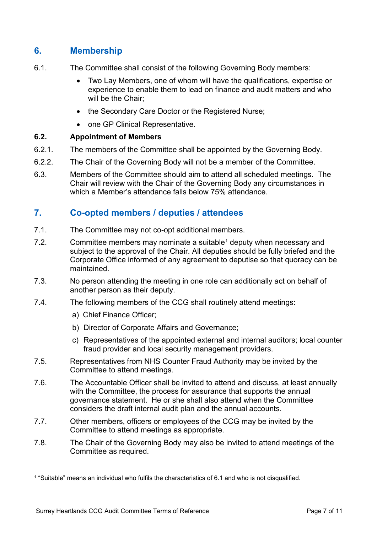# **6. Membership**

- 6.1. The Committee shall consist of the following Governing Body members:
	- Two Lay Members, one of whom will have the qualifications, expertise or experience to enable them to lead on finance and audit matters and who will be the Chair;
	- the Secondary Care Doctor or the Registered Nurse:
	- one GP Clinical Representative.

### **6.2. Appointment of Members**

- 6.2.1. The members of the Committee shall be appointed by the Governing Body.
- 6.2.2. The Chair of the Governing Body will not be a member of the Committee.
- 6.3. Members of the Committee should aim to attend all scheduled meetings. The Chair will review with the Chair of the Governing Body any circumstances in which a Member's attendance falls below 75% attendance

## **7. Co-opted members / deputies / attendees**

- 7.1. The Committee may not co-opt additional members.
- 7.2. Committee members may nominate a suitable<sup>[1](#page-6-0)</sup> deputy when necessary and subject to the approval of the Chair. All deputies should be fully briefed and the Corporate Office informed of any agreement to deputise so that quoracy can be maintained.
- 7.3. No person attending the meeting in one role can additionally act on behalf of another person as their deputy.
- 7.4. The following members of the CCG shall routinely attend meetings:
	- a) Chief Finance Officer;
	- b) Director of Corporate Affairs and Governance;
	- c) Representatives of the appointed external and internal auditors; local counter fraud provider and local security management providers.
- 7.5. Representatives from NHS Counter Fraud Authority may be invited by the Committee to attend meetings.
- 7.6. The Accountable Officer shall be invited to attend and discuss, at least annually with the Committee, the process for assurance that supports the annual governance statement. He or she shall also attend when the Committee considers the draft internal audit plan and the annual accounts.
- 7.7. Other members, officers or employees of the CCG may be invited by the Committee to attend meetings as appropriate.
- 7.8. The Chair of the Governing Body may also be invited to attend meetings of the Committee as required.

<span id="page-6-0"></span> <sup>1</sup> "Suitable" means an individual who fulfils the characteristics of 6.1 and who is not disqualified.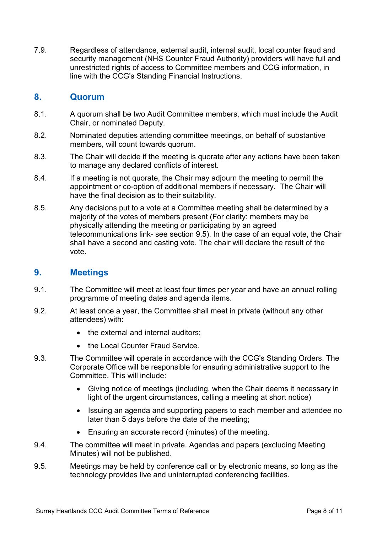7.9. Regardless of attendance, external audit, internal audit, local counter fraud and security management (NHS Counter Fraud Authority) providers will have full and unrestricted rights of access to Committee members and CCG information, in line with the CCG's Standing Financial Instructions.

## **8. Quorum**

- 8.1. A quorum shall be two Audit Committee members, which must include the Audit Chair, or nominated Deputy.
- 8.2. Nominated deputies attending committee meetings, on behalf of substantive members, will count towards quorum.
- 8.3. The Chair will decide if the meeting is quorate after any actions have been taken to manage any declared conflicts of interest.
- 8.4. If a meeting is not quorate, the Chair may adjourn the meeting to permit the appointment or co-option of additional members if necessary. The Chair will have the final decision as to their suitability.
- 8.5. Any decisions put to a vote at a Committee meeting shall be determined by a majority of the votes of members present (For clarity: members may be physically attending the meeting or participating by an agreed telecommunications link- see section [9.5\)](#page-7-0). In the case of an equal vote, the Chair shall have a second and casting vote. The chair will declare the result of the vote.

## **9. Meetings**

- 9.1. The Committee will meet at least four times per year and have an annual rolling programme of meeting dates and agenda items.
- 9.2. At least once a year, the Committee shall meet in private (without any other attendees) with:
	- the external and internal auditors:
	- the Local Counter Fraud Service.
- 9.3. The Committee will operate in accordance with the CCG's Standing Orders. The Corporate Office will be responsible for ensuring administrative support to the Committee. This will include:
	- Giving notice of meetings (including, when the Chair deems it necessary in light of the urgent circumstances, calling a meeting at short notice)
	- Issuing an agenda and supporting papers to each member and attendee no later than 5 days before the date of the meeting;
	- Ensuring an accurate record (minutes) of the meeting.
- 9.4. The committee will meet in private. Agendas and papers (excluding Meeting Minutes) will not be published.
- <span id="page-7-0"></span>9.5. Meetings may be held by conference call or by electronic means, so long as the technology provides live and uninterrupted conferencing facilities.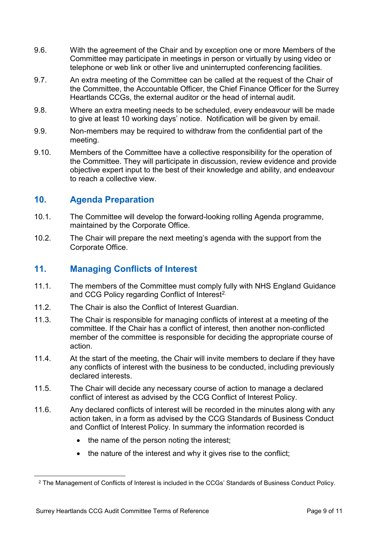- 9.6. With the agreement of the Chair and by exception one or more Members of the Committee may participate in meetings in person or virtually by using video or telephone or web link or other live and uninterrupted conferencing facilities.
- 9.7. An extra meeting of the Committee can be called at the request of the Chair of the Committee, the Accountable Officer, the Chief Finance Officer for the Surrey Heartlands CCGs, the external auditor or the head of internal audit.
- 9.8. Where an extra meeting needs to be scheduled, every endeavour will be made to give at least 10 working days' notice. Notification will be given by email.
- 9.9. Non-members may be required to withdraw from the confidential part of the meeting.
- 9.10. Members of the Committee have a collective responsibility for the operation of the Committee. They will participate in discussion, review evidence and provide objective expert input to the best of their knowledge and ability, and endeavour to reach a collective view.

## **10. Agenda Preparation**

- 10.1. The Committee will develop the forward-looking rolling Agenda programme, maintained by the Corporate Office.
- 10.2. The Chair will prepare the next meeting's agenda with the support from the Corporate Office.

# **11. Managing Conflicts of Interest**

- 11.1. The members of the Committee must comply fully with NHS England Guidance and CCG Policy regarding Conflict of Interest<sup>[2](#page-8-0).</sup>
- 11.2. The Chair is also the Conflict of Interest Guardian.
- 11.3. The Chair is responsible for managing conflicts of interest at a meeting of the committee. If the Chair has a conflict of interest, then another non-conflicted member of the committee is responsible for deciding the appropriate course of action.
- 11.4. At the start of the meeting, the Chair will invite members to declare if they have any conflicts of interest with the business to be conducted, including previously declared interests.
- 11.5. The Chair will decide any necessary course of action to manage a declared conflict of interest as advised by the CCG Conflict of Interest Policy.
- 11.6. Any declared conflicts of interest will be recorded in the minutes along with any action taken, in a form as advised by the CCG Standards of Business Conduct and Conflict of Interest Policy. In summary the information recorded is
	- the name of the person noting the interest:
	- the nature of the interest and why it gives rise to the conflict;

<span id="page-8-0"></span> <sup>2</sup> The Management of Conflicts of Interest is included in the CCGs' Standards of Business Conduct Policy.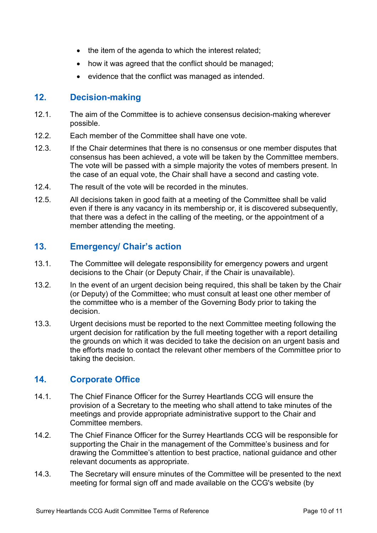- the item of the agenda to which the interest related;
- how it was agreed that the conflict should be managed;
- evidence that the conflict was managed as intended.

## **12. Decision-making**

- 12.1. The aim of the Committee is to achieve consensus decision-making wherever possible.
- 12.2. Each member of the Committee shall have one vote.
- 12.3. If the Chair determines that there is no consensus or one member disputes that consensus has been achieved, a vote will be taken by the Committee members. The vote will be passed with a simple majority the votes of members present. In the case of an equal vote, the Chair shall have a second and casting vote.
- 12.4. The result of the vote will be recorded in the minutes.
- 12.5. All decisions taken in good faith at a meeting of the Committee shall be valid even if there is any vacancy in its membership or, it is discovered subsequently, that there was a defect in the calling of the meeting, or the appointment of a member attending the meeting.

## **13. Emergency/ Chair's action**

- 13.1. The Committee will delegate responsibility for emergency powers and urgent decisions to the Chair (or Deputy Chair, if the Chair is unavailable).
- 13.2. In the event of an urgent decision being required, this shall be taken by the Chair (or Deputy) of the Committee; who must consult at least one other member of the committee who is a member of the Governing Body prior to taking the decision.
- 13.3. Urgent decisions must be reported to the next Committee meeting following the urgent decision for ratification by the full meeting together with a report detailing the grounds on which it was decided to take the decision on an urgent basis and the efforts made to contact the relevant other members of the Committee prior to taking the decision.

## **14. Corporate Office**

- 14.1. The Chief Finance Officer for the Surrey Heartlands CCG will ensure the provision of a Secretary to the meeting who shall attend to take minutes of the meetings and provide appropriate administrative support to the Chair and Committee members.
- 14.2. The Chief Finance Officer for the Surrey Heartlands CCG will be responsible for supporting the Chair in the management of the Committee's business and for drawing the Committee's attention to best practice, national guidance and other relevant documents as appropriate.
- 14.3. The Secretary will ensure minutes of the Committee will be presented to the next meeting for formal sign off and made available on the CCG's website (by